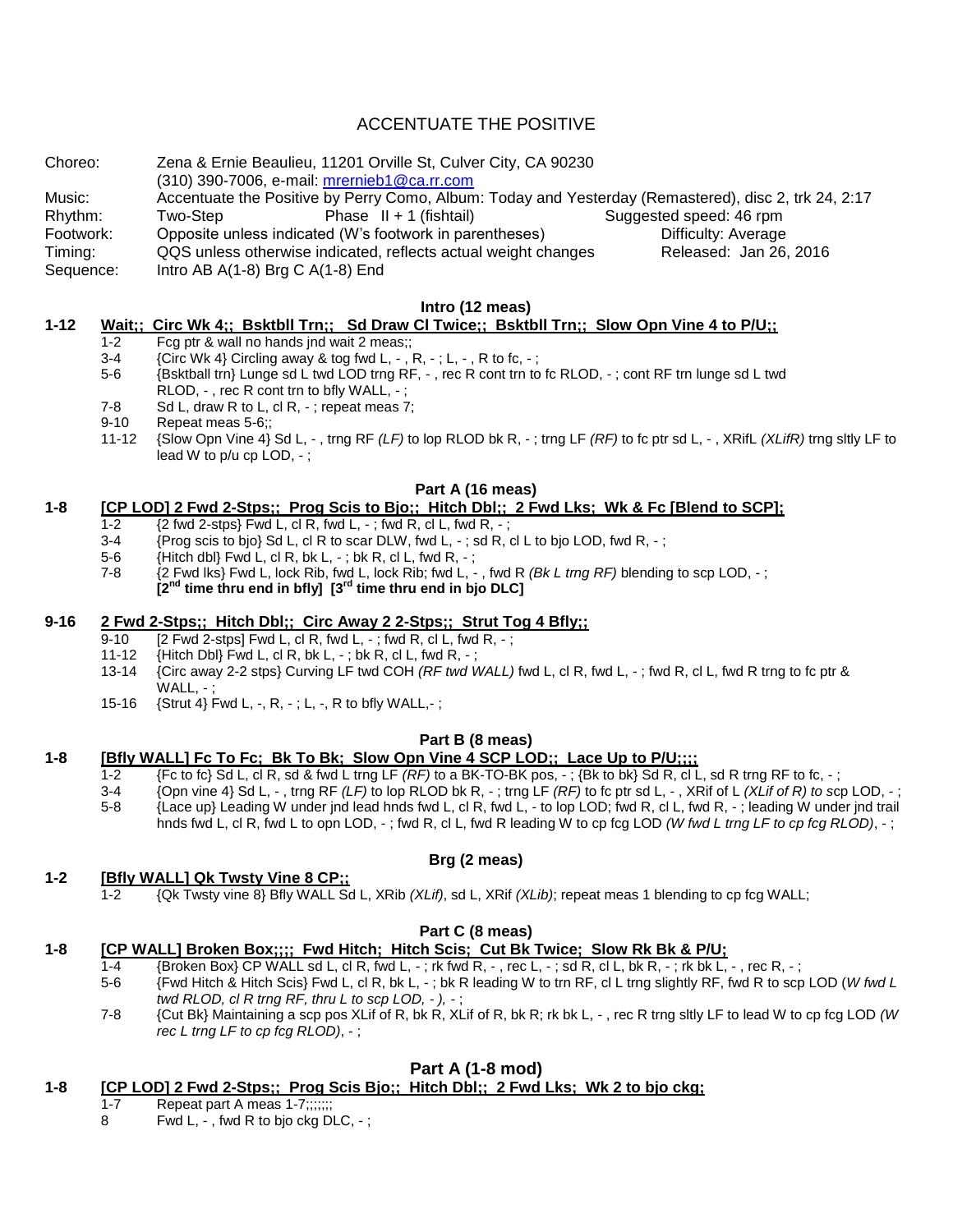# ACCENTUATE THE POSITIVE

Choreo: Zena & Ernie Beaulieu, 11201 Orville St, Culver City, CA 90230 (310) 390-7006, e-mail: [mrernieb1@ca.rr.com](mailto:mrernieb1@ca.rr.com) Music: Accentuate the Positive by Perry Como, Album: Today and Yesterday (Remastered), disc 2, trk 24, 2:17<br>Rhythm: Two-Step Phase II + 1 (fishtail) Suggested speed: 46 rpm Rhythm: Two-Step Phase II + 1 (fishtail) Suggested speed: 46 rpm Footwork: Opposite unless indicated (W's footwork in parentheses) The Difficulty: Average Timing: QQS unless otherwise indicated, reflects actual weight changes Released: Jan 26, 2016 Sequence: Intro AB A(1-8) Brg C A(1-8) End

### **Intro (12 meas)**

## **1-12 Wait;; Circ Wk 4;; Bsktbll Trn;; Sd Draw Cl Twice;; Bsktbll Trn;; Slow Opn Vine 4 to P/U;;**

- 1-2 Fcg ptr & wall no hands jnd wait 2 meas;;
- 3-4  ${Circ Wk 4}$  Circling away & tog fwd L, -, R, -; L, -, R to fc, -;
- 5-6 {Bsktball trn} Lunge sd L twd LOD trng RF, , rec R cont trn to fc RLOD, ; cont RF trn lunge sd L twd RLOD, -, rec R cont trn to bfly WALL, -;
- 7-8 Sd L, draw R to L, cl R, -: repeat meas 7:
- 9-10 Repeat meas 5-6;;
- 11-12 {Slow Opn Vine 4} Sd L, , trng RF *(LF)* to lop RLOD bk R, ; trng LF *(RF)* to fc ptr sd L, , XRifL *(XLifR)* trng sltly LF to lead W to p/u cp LOD, - ;

### **Part A (16 meas)**

### **1-8 [CP LOD] 2 Fwd 2-Stps;; Prog Scis to Bjo;; Hitch Dbl;; 2 Fwd Lks; Wk & Fc [Blend to SCP];**

- 1-2  $\{2 \text{ fwd } 2\text{-stps}\}$  Fwd L, cl R, fwd L, -; fwd R, cl L, fwd R, -;
- $3-4$  {Prog scis to bjo} Sd L, cl R to scar DLW, fwd L, -; sd R, cl L to bjo LOD, fwd R, -;
- 5-6 {Hitch dbl} Fwd L, cl R, bk L, ; bk R, cl L, fwd R, ;
- 7-8 {2 Fwd lks} Fwd L, lock Rib, fwd L, lock Rib; fwd L, , fwd R *(Bk L trng RF)* blending to scp LOD, ; **[2nd time thru end in bfly] [3rd time thru end in bjo DLC]**

### **9-16 2 Fwd 2-Stps;; Hitch Dbl;; Circ Away 2 2-Stps;; Strut Tog 4 Bfly;;**

- $\overline{9-10}$  [2 Fwd 2-stps] Fwd L, cl R, fwd L, -; fwd R, cl L, fwd R, -;
- 11-12 {Hitch Dbl} Fwd L, cl R, bk L, -; bk R, cl L, fwd R, -;<br>13-14 {Circ away 2-2 stos} Curving LF twd COH (RF twd V
- 13-14 {Circ away 2-2 stps} Curving LF twd COH *(RF twd WALL)* fwd L, cl R, fwd L, ; fwd R, cl L, fwd R trng to fc ptr & WALL. -
- 15-16 {Strut 4} Fwd L, -, R, ; L, -, R to bfly WALL,- ;

### **Part B (8 meas)**

### **1-8 [Bfly WALL] Fc To Fc; Bk To Bk; Slow Opn Vine 4 SCP LOD;; Lace Up to P/U;;;;**

- $1-2$  {Fc to fc} Sd L, cl R, sd & fwd L trng LF  $(RF)$  to a BK-TO-BK pos, -; {Bk to bk} Sd R, cl L, sd R trng RF to fc, -;
- 3-4 {Opn vine 4} Sd L, , trng RF *(LF)* to lop RLOD bk R, ; trng LF *(RF)* to fc ptr sd L, , XRif of L *(XLif of R) to s*cp LOD, ; 5-8 {Lace up} Leading W under jnd lead hnds fwd L, cl R, fwd L, - to lop LOD; fwd R, cl L, fwd R, - ; leading W under jnd trail
- hnds fwd L, cl R, fwd L to opn LOD, ; fwd R, cl L, fwd R leading W to cp fcg LOD *(W fwd L trng LF to cp fcg RLOD)*, ;

## **Brg (2 meas)**

## **1-2 [Bfly WALL] Qk Twsty Vine 8 CP;;**

1-2 {Qk Twsty vine 8} Bfly WALL Sd L, XRib *(XLif)*, sd L, XRif *(XLib)*; repeat meas 1 blending to cp fcg WALL;

## **Part C (8 meas)**

- **1-8 [CP WALL] Broken Box;;;; Fwd Hitch; Hitch Scis; Cut Bk Twice; Slow Rk Bk & P/U;**
	- 1-4 {Broken Box} CP WALL sd L, cl R, fwd L, -; rk fwd R, -, rec L, -; sd R, cl L, bk R, -; rk bk L, -, rec R, -;<br>5-6 {Fwd Hitch & Hitch Scis} Fwd L, cl R, bk L, -; bk R leading W to trn RF, cl L trng slightly RF, fwd R to
	- 5-6 {Fwd Hitch & Hitch Scis} Fwd L, cl R, bk L, ; bk R leading W to trn RF, cl L trng slightly RF, fwd R to scp LOD (*W fwd L twd RLOD, cl R trng RF, thru L to scp LOD, - ), -* ;
	- 7-8 {Cut Bk} Maintaining a scp pos XLif of R, bk R, XLif of R, bk R; rk bk L, , rec R trng sltly LF to lead W to cp fcg LOD *(W rec L trng LF to cp fcg RLOD)*, - ;

# **Part A (1-8 mod)**

# **1-8 [CP LOD] 2 Fwd 2-Stps;; Prog Scis Bjo;; Hitch Dbl;; 2 Fwd Lks; Wk 2 to bjo ckg;**

- 1-7 Repeat part A meas 1-7;;;;;;;
- 8 Fwd L, , fwd R to bjo ckg DLC, ;